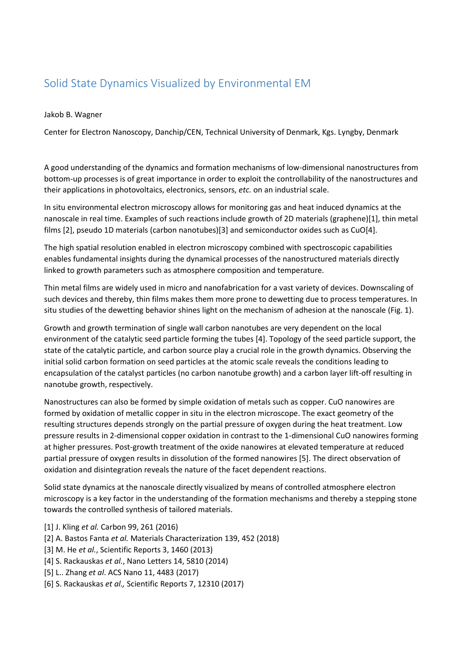## Solid State Dynamics Visualized by Environmental EM

Jakob B. Wagner

Center for Electron Nanoscopy, Danchip/CEN, Technical University of Denmark, Kgs. Lyngby, Denmark

A good understanding of the dynamics and formation mechanisms of low-dimensional nanostructures from bottom-up processes is of great importance in order to exploit the controllability of the nanostructures and their applications in photovoltaics, electronics, sensors, *etc.* on an industrial scale.

In situ environmental electron microscopy allows for monitoring gas and heat induced dynamics at the nanoscale in real time. Examples of such reactions include growth of 2D materials (graphene)[1], thin metal films [2], pseudo 1D materials (carbon nanotubes)[3] and semiconductor oxides such as CuO[4].

The high spatial resolution enabled in electron microscopy combined with spectroscopic capabilities enables fundamental insights during the dynamical processes of the nanostructured materials directly linked to growth parameters such as atmosphere composition and temperature.

Thin metal films are widely used in micro and nanofabrication for a vast variety of devices. Downscaling of such devices and thereby, thin films makes them more prone to dewetting due to process temperatures. In situ studies of the dewetting behavior shines light on the mechanism of adhesion at the nanoscale (Fig. 1).

Growth and growth termination of single wall carbon nanotubes are very dependent on the local environment of the catalytic seed particle forming the tubes [4]. Topology of the seed particle support, the state of the catalytic particle, and carbon source play a crucial role in the growth dynamics. Observing the initial solid carbon formation on seed particles at the atomic scale reveals the conditions leading to encapsulation of the catalyst particles (no carbon nanotube growth) and a carbon layer lift-off resulting in nanotube growth, respectively.

Nanostructures can also be formed by simple oxidation of metals such as copper. CuO nanowires are formed by oxidation of metallic copper in situ in the electron microscope. The exact geometry of the resulting structures depends strongly on the partial pressure of oxygen during the heat treatment. Low pressure results in 2-dimensional copper oxidation in contrast to the 1-dimensional CuO nanowires forming at higher pressures. Post-growth treatment of the oxide nanowires at elevated temperature at reduced partial pressure of oxygen results in dissolution of the formed nanowires [5]. The direct observation of oxidation and disintegration reveals the nature of the facet dependent reactions.

Solid state dynamics at the nanoscale directly visualized by means of controlled atmosphere electron microscopy is a key factor in the understanding of the formation mechanisms and thereby a stepping stone towards the controlled synthesis of tailored materials.

- [1] J. Kling *et al.* Carbon 99, 261 (2016)
- [2] A. Bastos Fanta *et al.* Materials Characterization 139, 452 (2018)
- [3] M. He *et al.*, Scientific Reports 3, 1460 (2013)
- [4] S. Rackauskas *et al.*, Nano Letters 14, 5810 (2014)
- [5] L.. Zhang *et al*. ACS Nano 11, 4483 (2017)
- [6] S. Rackauskas *et al.,* Scientific Reports 7, 12310 (2017)